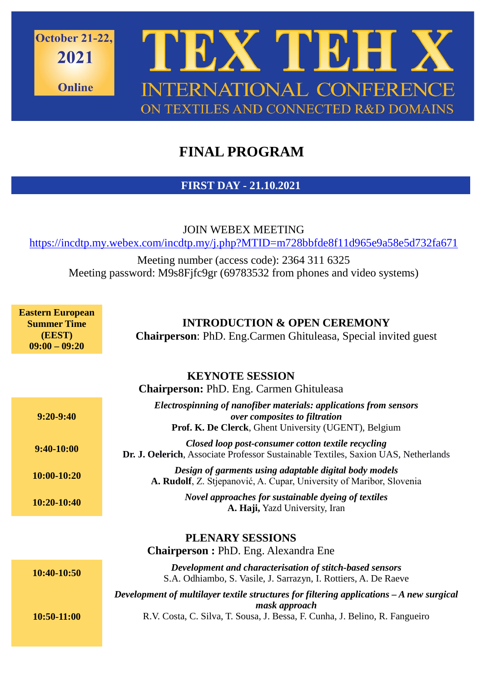

## **FINAL PROGRAM**

## **FIRST DAY - 21.10.2021**

JOIN WEBEX MEETING <https://incdtp.my.webex.com/incdtp.my/j.php?MTID=m728bbfde8f11d965e9a58e5d732fa671>

Meeting number (access code): 2364 311 6325 Meeting password: M9s8Fjfc9gr (69783532 from phones and video systems)

**Eastern European Summer Time (EEST) 09:00 – 09:20**

**INTRODUCTION & OPEN CEREMONY**

**Chairperson**: PhD. Eng.Carmen Ghituleasa, Special invited guest

|               | <b>KEYNOTE SESSION</b><br><b>Chairperson: PhD. Eng. Carmen Ghituleasa</b>                                                                                   |
|---------------|-------------------------------------------------------------------------------------------------------------------------------------------------------------|
| $9:20-9:40$   | Electrospinning of nanofiber materials: applications from sensors<br>over composites to filtration<br>Prof. K. De Clerck, Ghent University (UGENT), Belgium |
| $9:40-10:00$  | Closed loop post-consumer cotton textile recycling<br><b>Dr. J. Oelerich</b> , Associate Professor Sustainable Textiles, Saxion UAS, Netherlands            |
| $10:00-10:20$ | Design of garments using adaptable digital body models<br>A. Rudolf, Z. Stjepanović, A. Cupar, University of Maribor, Slovenia                              |
| 10:20-10:40   | Novel approaches for sustainable dyeing of textiles<br>A. Haji, Yazd University, Iran                                                                       |
|               | PLENARY SESSIONS<br><b>Chairperson: PhD. Eng. Alexandra Ene</b>                                                                                             |
| 10:40-10:50   | Development and characterisation of stitch-based sensors<br>S.A. Odhiambo, S. Vasile, J. Sarrazyn, I. Rottiers, A. De Raeve                                 |

*Development of multilayer textile structures for filtering applications – A new surgical mask approach* R.V. Costa, C. Silva, T. Sousa, J. Bessa, F. Cunha, J. Belino, R. Fangueiro

**10:50-11:00**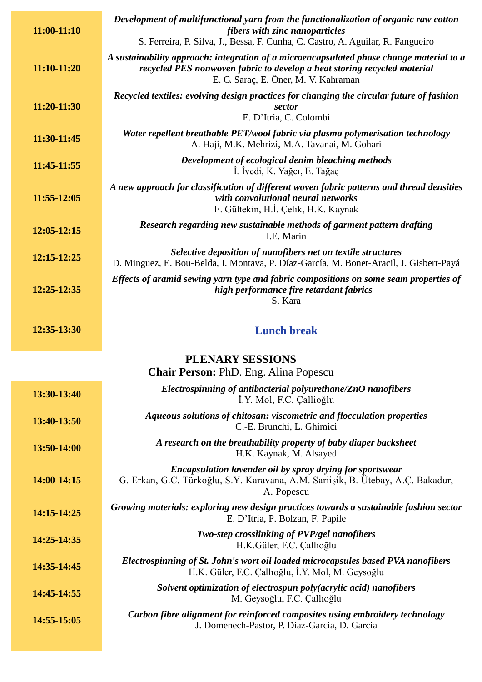| $11:00-11:10$ | Development of multifunctional yarn from the functionalization of organic raw cotton<br>fibers with zinc nanoparticles<br>S. Ferreira, P. Silva, J., Bessa, F. Cunha, C. Castro, A. Aguilar, R. Fangueiro    |
|---------------|--------------------------------------------------------------------------------------------------------------------------------------------------------------------------------------------------------------|
| $11:10-11:20$ | A sustainability approach: integration of a microencapsulated phase change material to a<br>recycled PES nonwoven fabric to develop a heat storing recycled material<br>E. G. Saraç, E. Öner, M. V. Kahraman |
| 11:20-11:30   | Recycled textiles: evolving design practices for changing the circular future of fashion<br>sector<br>E. D'Itria, C. Colombi                                                                                 |
| 11:30-11:45   | Water repellent breathable PET/wool fabric via plasma polymerisation technology<br>A. Haji, M.K. Mehrizi, M.A. Tavanai, M. Gohari                                                                            |
| 11:45-11:55   | Development of ecological denim bleaching methods<br>I. İvedi, K. Yağcı, E. Tağaç                                                                                                                            |
| 11:55-12:05   | A new approach for classification of different woven fabric patterns and thread densities<br>with convolutional neural networks<br>E. Gültekin, H.İ. Çelik, H.K. Kaynak                                      |
| 12:05-12:15   | Research regarding new sustainable methods of garment pattern drafting<br>I.E. Marin                                                                                                                         |
| 12:15-12:25   | Selective deposition of nanofibers net on textile structures<br>D. Minguez, E. Bou-Belda, I. Montava, P. Díaz-García, M. Bonet-Aracil, J. Gisbert-Payá                                                       |
| 12:25-12:35   | Effects of aramid sewing yarn type and fabric compositions on some seam properties of<br>high performance fire retardant fabrics<br>S. Kara                                                                  |
| 12:35-13:30   | <b>Lunch break</b>                                                                                                                                                                                           |
|               | PLENARY SESSIONS                                                                                                                                                                                             |
|               | <b>Chair Person: PhD. Eng. Alina Popescu</b>                                                                                                                                                                 |
| 13:30-13:40   | Electrospinning of antibacterial polyurethane/ZnO nanofibers<br>İ.Y. Mol, F.C. Çallioğlu                                                                                                                     |
| 13:40-13:50   | Aqueous solutions of chitosan: viscometric and flocculation properties<br>C.-E. Brunchi, L. Ghimici                                                                                                          |

## **13:50-14:00** *A research on the breathability property of baby diaper backsheet* H.K. Kaynak, M. Alsayed

**14:00-14:15** *Encapsulation lavender oil by spray drying for sportswear* G. Erkan, G.C. Türkoğlu, S.Y. Karavana, A.M. Sariişik, B. Ütebay, A.Ç. Bakadur, A. Popescu

**14:15-14:25** *Growing materials: exploring new design practices towards a sustainable fashion sector* E. D'Itria, P. Bolzan, F. Papile

| 14:25-14:35 | Two-step crosslinking of PVP/gel nanofibers<br>H.K.Güler, F.C. Callioğlu                                                              |
|-------------|---------------------------------------------------------------------------------------------------------------------------------------|
| 14:35-14:45 | Electrospinning of St. John's wort oil loaded microcapsules based PVA nanofibers<br>H.K. Güler, F.C. Çallıoğlu, İ.Y. Mol, M. Geysoğlu |
| 14:45-14:55 | Solvent optimization of electrospun poly(acrylic acid) nanofibers<br>M. Geysoğlu, F.C. Çallıoğlu                                      |
| 14:55-15:05 | Carbon fibre alignment for reinforced composites using embroidery technology<br>J. Domenech-Pastor, P. Diaz-Garcia, D. Garcia         |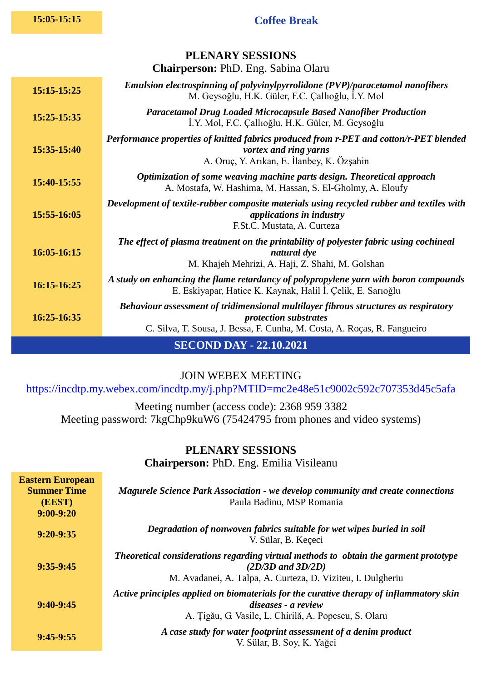## **15:05-15:15 Coffee Break**

| PLENARY SESSIONS<br><b>Chairperson: PhD. Eng. Sabina Olaru</b> |                                                                                                                                                                                                 |  |
|----------------------------------------------------------------|-------------------------------------------------------------------------------------------------------------------------------------------------------------------------------------------------|--|
| 15:15-15:25                                                    | Emulsion electrospinning of polyvinylpyrrolidone (PVP)/paracetamol nanofibers<br>M. Geysoğlu, H.K. Güler, F.C. Çallıoğlu, İ.Y. Mol                                                              |  |
| 15:25-15:35                                                    | <b>Paracetamol Drug Loaded Microcapsule Based Nanofiber Production</b><br>I.Y. Mol, F.C. Çallıoğlu, H.K. Güler, M. Geysoğlu                                                                     |  |
| 15:35-15:40                                                    | Performance properties of knitted fabrics produced from r-PET and cotton/r-PET blended<br>vortex and ring yarns<br>A. Oruç, Y. Arıkan, E. İlanbey, K. Özşahin                                   |  |
| 15:40-15:55                                                    | Optimization of some weaving machine parts design. Theoretical approach<br>A. Mostafa, W. Hashima, M. Hassan, S. El-Gholmy, A. Eloufy                                                           |  |
| 15:55-16:05                                                    | Development of textile-rubber composite materials using recycled rubber and textiles with<br><i>applications in industry</i><br>F.St.C. Mustata, A. Curteza                                     |  |
| 16:05-16:15                                                    | The effect of plasma treatment on the printability of polyester fabric using cochineal<br>natural dye<br>M. Khajeh Mehrizi, A. Haji, Z. Shahi, M. Golshan                                       |  |
| 16:15-16:25                                                    | A study on enhancing the flame retardancy of polypropylene yarn with boron compounds<br>E. Eskiyapar, Hatice K. Kaynak, Halil İ. Çelik, E. Sarıoğlu                                             |  |
| 16:25-16:35                                                    | Behaviour assessment of tridimensional multilayer fibrous structures as respiratory<br><i>protection substrates</i><br>C. Silva, T. Sousa, J. Bessa, F. Cunha, M. Costa, A. Roças, R. Fangueiro |  |
| <b>SECOND DAY - 22.10.2021</b>                                 |                                                                                                                                                                                                 |  |

JOIN WEBEX MEETING

<https://incdtp.my.webex.com/incdtp.my/j.php?MTID=mc2e48e51c9002c592c707353d45c5afa>

Meeting number (access code): 2368 959 3382 Meeting password: 7kgChp9kuW6 (75424795 from phones and video systems)

> **PLENARY SESSIONS Chairperson:** PhD. Eng. Emilia Visileanu

| <b>Eastern European</b><br><b>Summer Time</b><br>(EEST)<br>$9:00-9:20$ | <b>Magurele Science Park Association - we develop community and create connections</b><br>Paula Badinu, MSP Romania                                                          |
|------------------------------------------------------------------------|------------------------------------------------------------------------------------------------------------------------------------------------------------------------------|
| $9:20-9:35$                                                            | Degradation of nonwoven fabrics suitable for wet wipes buried in soil<br>V. Sülar, B. Keçeci                                                                                 |
| $9:35-9:45$                                                            | Theoretical considerations regarding virtual methods to obtain the garment prototype<br>$(2D/3D$ and $3D/2D)$<br>M. Avadanei, A. Talpa, A. Curteza, D. Viziteu, I. Dulgheriu |
| $9:40-9:45$                                                            | Active principles applied on biomaterials for the curative therapy of inflammatory skin<br>diseases - a review<br>A. Țigău, G. Vasile, L. Chirilă, A. Popescu, S. Olaru      |
| $9:45-9:55$                                                            | A case study for water footprint assessment of a denim product<br>V. Sülar, B. Soy, K. Yağci                                                                                 |